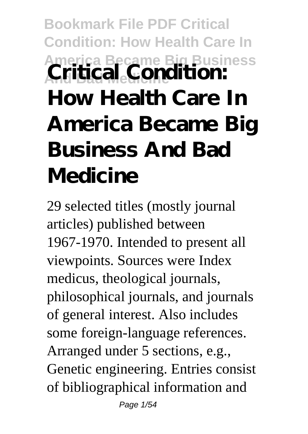## **Bookmark File PDF Critical Condition: How Health Care In America Became Big Business And Bad Medicine Critical Condition: How Health Care In America Became Big Business And Bad Medicine**

29 selected titles (mostly journal articles) published between 1967-1970. Intended to present all viewpoints. Sources were Index medicus, theological journals, philosophical journals, and journals of general interest. Also includes some foreign-language references. Arranged under 5 sections, e.g., Genetic engineering. Entries consist of bibliographical information and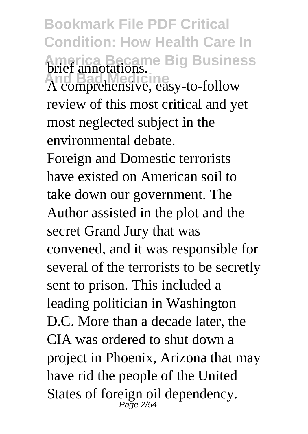**Bookmark File PDF Critical Condition: How Health Care In America Became Big Business** brief annotations.

A comprehensive, easy-to-follow review of this most critical and yet most neglected subject in the environmental debate.

Foreign and Domestic terrorists have existed on American soil to take down our government. The Author assisted in the plot and the secret Grand Jury that was convened, and it was responsible for several of the terrorists to be secretly sent to prison. This included a leading politician in Washington D.C. More than a decade later, the CIA was ordered to shut down a project in Phoenix, Arizona that may have rid the people of the United States of foreign oil dependency.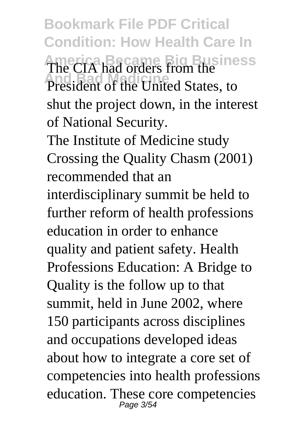**Bookmark File PDF Critical Condition: How Health Care In America Became Big Business** The CIA had orders from the **President of the United States, to** shut the project down, in the interest of National Security.

The Institute of Medicine study Crossing the Quality Chasm (2001) recommended that an interdisciplinary summit be held to further reform of health professions education in order to enhance quality and patient safety. Health Professions Education: A Bridge to Quality is the follow up to that summit, held in June 2002, where 150 participants across disciplines and occupations developed ideas about how to integrate a core set of competencies into health professions education. These core competencies Page 3/54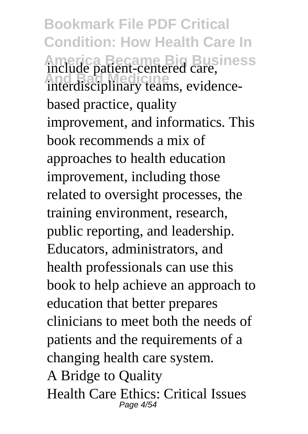**Bookmark File PDF Critical Condition: How Health Care In America Became Big Business** include patient-centered care, interdisciplinary teams, evidencebased practice, quality improvement, and informatics. This book recommends a mix of approaches to health education improvement, including those related to oversight processes, the training environment, research, public reporting, and leadership. Educators, administrators, and health professionals can use this book to help achieve an approach to education that better prepares clinicians to meet both the needs of patients and the requirements of a changing health care system. A Bridge to Quality Health Care Ethics: Critical Issues Page 4/54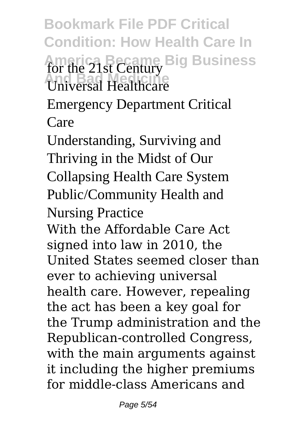**Bookmark File PDF Critical Condition: How Health Care In** America Became Big Business **And Bad Medicine** Universal Healthcare Emergency Department Critical Care Understanding, Surviving and Thriving in the Midst of Our Collapsing Health Care System Public/Community Health and Nursing Practice With the Affordable Care Act signed into law in 2010, the United States seemed closer than ever to achieving universal health care. However, repealing the act has been a key goal for the Trump administration and the Republican-controlled Congress, with the main arguments against it including the higher premiums for middle-class Americans and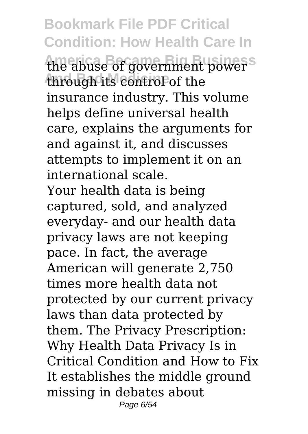**Bookmark File PDF Critical Condition: How Health Care In** the abuse of government power<sup>s</sup> through its control of the insurance industry. This volume helps define universal health care, explains the arguments for and against it, and discusses attempts to implement it on an international scale. Your health data is being captured, sold, and analyzed everyday- and our health data privacy laws are not keeping pace. In fact, the average American will generate 2,750 times more health data not protected by our current privacy laws than data protected by them. The Privacy Prescription: Why Health Data Privacy Is in Critical Condition and How to Fix It establishes the middle ground missing in debates about Page 6/54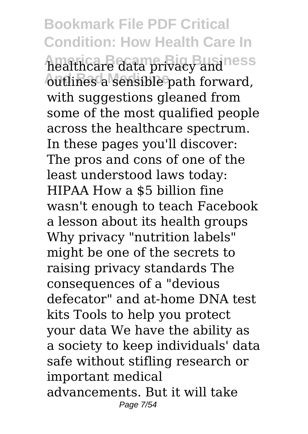**Bookmark File PDF Critical Condition: How Health Care In America Became Big Business** healthcare data privacy and **And Bad Medicine** outlines a sensible path forward, with suggestions gleaned from some of the most qualified people across the healthcare spectrum. In these pages you'll discover: The pros and cons of one of the least understood laws today: HIPAA How a \$5 billion fine wasn't enough to teach Facebook a lesson about its health groups Why privacy "nutrition labels" might be one of the secrets to raising privacy standards The consequences of a "devious defecator" and at-home DNA test kits Tools to help you protect your data We have the ability as a society to keep individuals' data safe without stifling research or important medical advancements. But it will take Page 7/54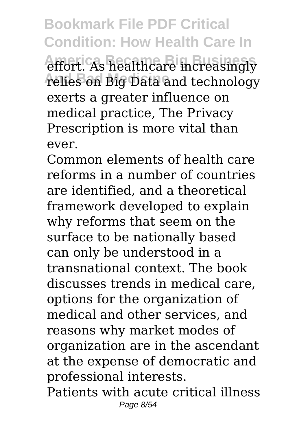**Bookmark File PDF Critical Condition: How Health Care In** effort. As healthcare increasingly relies on Big Data and technology exerts a greater influence on medical practice, The Privacy Prescription is more vital than ever.

Common elements of health care reforms in a number of countries are identified, and a theoretical framework developed to explain why reforms that seem on the surface to be nationally based can only be understood in a transnational context. The book discusses trends in medical care, options for the organization of medical and other services, and reasons why market modes of organization are in the ascendant at the expense of democratic and professional interests. Patients with acute critical illness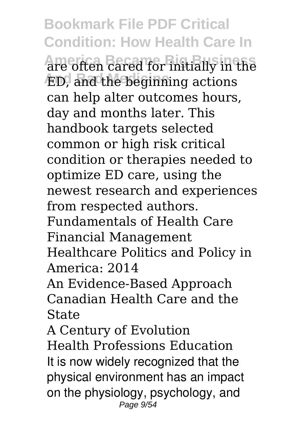**Bookmark File PDF Critical Condition: How Health Care In America Became Big Business** are often cared for initially in the **And Bad Medicine** ED, and the beginning actions can help alter outcomes hours, day and months later. This handbook targets selected common or high risk critical condition or therapies needed to optimize ED care, using the newest research and experiences from respected authors. Fundamentals of Health Care Financial Management Healthcare Politics and Policy in America: 2014 An Evidence-Based Approach Canadian Health Care and the State A Century of Evolution Health Professions Education

It is now widely recognized that the physical environment has an impact on the physiology, psychology, and Page  $9/54$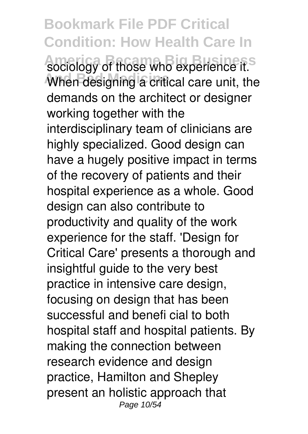**Bookmark File PDF Critical Condition: How Health Care In** sociology of those who experience it.<sup>5</sup> When designing a critical care unit, the demands on the architect or designer working together with the interdisciplinary team of clinicians are highly specialized. Good design can have a hugely positive impact in terms of the recovery of patients and their hospital experience as a whole. Good design can also contribute to productivity and quality of the work experience for the staff. 'Design for Critical Care' presents a thorough and insightful guide to the very best practice in intensive care design, focusing on design that has been successful and benefi cial to both hospital staff and hospital patients. By making the connection between research evidence and design practice, Hamilton and Shepley present an holistic approach that Page 10/54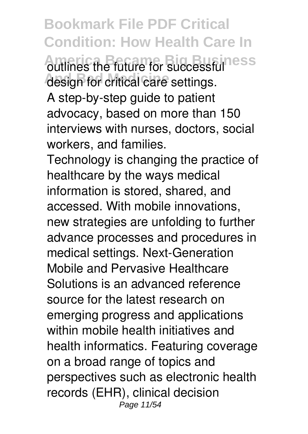**Bookmark File PDF Critical Condition: How Health Care In Autlines the future for successfulness** design for critical care settings. A step-by-step guide to patient advocacy, based on more than 150 interviews with nurses, doctors, social workers, and families.

Technology is changing the practice of healthcare by the ways medical information is stored, shared, and accessed. With mobile innovations, new strategies are unfolding to further advance processes and procedures in medical settings. Next-Generation Mobile and Pervasive Healthcare Solutions is an advanced reference source for the latest research on emerging progress and applications within mobile health initiatives and health informatics. Featuring coverage on a broad range of topics and perspectives such as electronic health records (EHR), clinical decision Page 11/54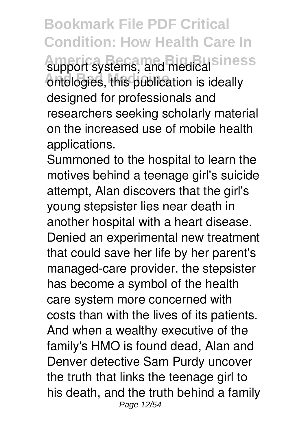**Bookmark File PDF Critical Condition: How Health Care In** support systems, and medical siness ontologies, this publication is ideally designed for professionals and researchers seeking scholarly material on the increased use of mobile health applications.

Summoned to the hospital to learn the motives behind a teenage girl's suicide attempt, Alan discovers that the girl's young stepsister lies near death in another hospital with a heart disease. Denied an experimental new treatment that could save her life by her parent's managed-care provider, the stepsister has become a symbol of the health care system more concerned with costs than with the lives of its patients. And when a wealthy executive of the family's HMO is found dead, Alan and Denver detective Sam Purdy uncover the truth that links the teenage girl to his death, and the truth behind a family Page 12/54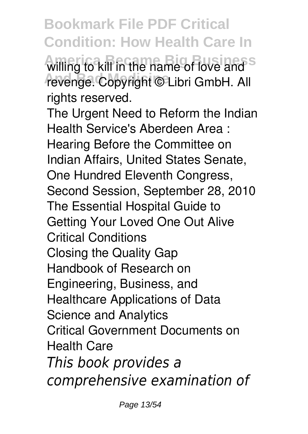**Bookmark File PDF Critical Condition: How Health Care In** willing to kill in the name of love and s **And Bad Medicine** revenge. Copyright © Libri GmbH. All rights reserved.

The Urgent Need to Reform the Indian Health Service's Aberdeen Area : Hearing Before the Committee on Indian Affairs, United States Senate, One Hundred Eleventh Congress, Second Session, September 28, 2010 The Essential Hospital Guide to Getting Your Loved One Out Alive Critical Conditions Closing the Quality Gap Handbook of Research on Engineering, Business, and Healthcare Applications of Data Science and Analytics Critical Government Documents on Health Care *This book provides a comprehensive examination of*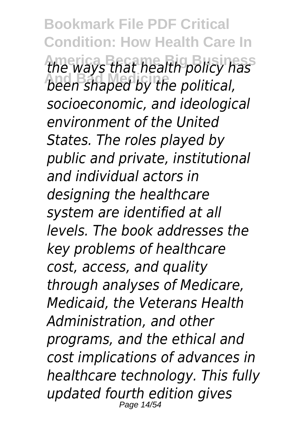**Bookmark File PDF Critical Condition: How Health Care In America Became Big Business** *the ways that health policy has* **And Bad Medicine** *been shaped by the political, socioeconomic, and ideological environment of the United States. The roles played by public and private, institutional and individual actors in designing the healthcare system are identified at all levels. The book addresses the key problems of healthcare cost, access, and quality through analyses of Medicare, Medicaid, the Veterans Health Administration, and other programs, and the ethical and cost implications of advances in healthcare technology. This fully updated fourth edition gives* Page 14/54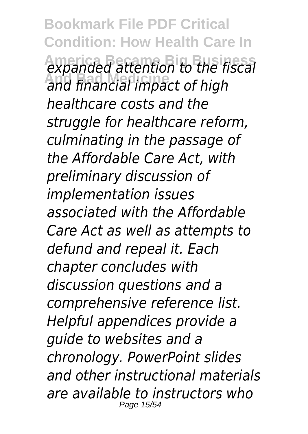**Bookmark File PDF Critical Condition: How Health Care In America Became Big Business** *expanded attention to the fiscal* **And Bad Medicine** *and financial impact of high healthcare costs and the struggle for healthcare reform, culminating in the passage of the Affordable Care Act, with preliminary discussion of implementation issues associated with the Affordable Care Act as well as attempts to defund and repeal it. Each chapter concludes with discussion questions and a comprehensive reference list. Helpful appendices provide a guide to websites and a chronology. PowerPoint slides and other instructional materials are available to instructors who* Page 15/54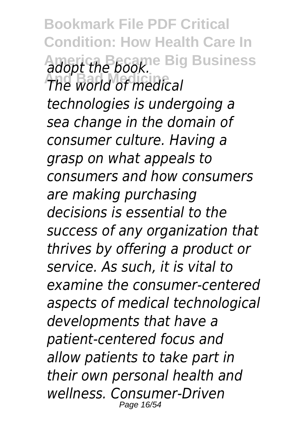**Bookmark File PDF Critical Condition: How Health Care In America Became Big Business** *adopt the book.* **And Bad Medicine** *The world of medical technologies is undergoing a sea change in the domain of consumer culture. Having a grasp on what appeals to consumers and how consumers are making purchasing decisions is essential to the success of any organization that thrives by offering a product or service. As such, it is vital to examine the consumer-centered aspects of medical technological developments that have a patient-centered focus and allow patients to take part in their own personal health and wellness. Consumer-Driven* Page 16/54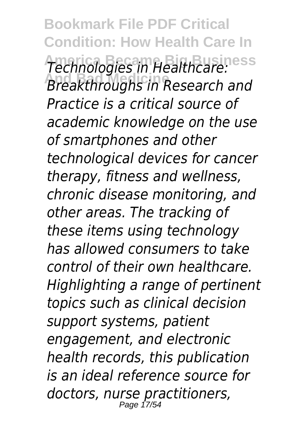**Bookmark File PDF Critical Condition: How Health Care In America Became Big Business** *Technologies in Healthcare:* **And Bad Medicine** *Breakthroughs in Research and Practice is a critical source of academic knowledge on the use of smartphones and other technological devices for cancer therapy, fitness and wellness, chronic disease monitoring, and other areas. The tracking of these items using technology has allowed consumers to take control of their own healthcare. Highlighting a range of pertinent topics such as clinical decision support systems, patient engagement, and electronic health records, this publication is an ideal reference source for doctors, nurse practitioners,* Page 17/5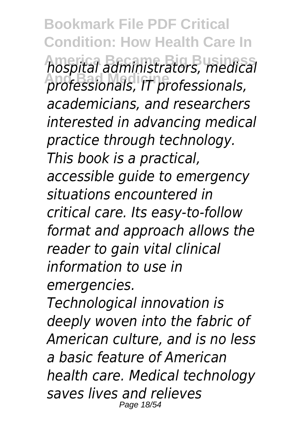**Bookmark File PDF Critical Condition: How Health Care In America Became Big Business** *hospital administrators, medical* **And Bad Medicine** *professionals, IT professionals, academicians, and researchers interested in advancing medical practice through technology. This book is a practical, accessible guide to emergency situations encountered in critical care. Its easy-to-follow format and approach allows the reader to gain vital clinical information to use in emergencies. Technological innovation is*

*deeply woven into the fabric of American culture, and is no less a basic feature of American health care. Medical technology saves lives and relieves* Page 18/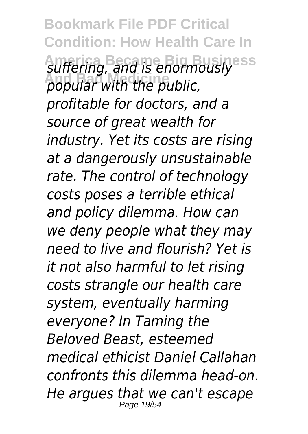**Bookmark File PDF Critical Condition: How Health Care In** suffering, and is enormously **And Bad Medicine** *popular with the public, profitable for doctors, and a source of great wealth for industry. Yet its costs are rising at a dangerously unsustainable rate. The control of technology costs poses a terrible ethical and policy dilemma. How can we deny people what they may need to live and flourish? Yet is it not also harmful to let rising costs strangle our health care system, eventually harming everyone? In Taming the Beloved Beast, esteemed medical ethicist Daniel Callahan confronts this dilemma head-on. He argues that we can't escape* Page 19/54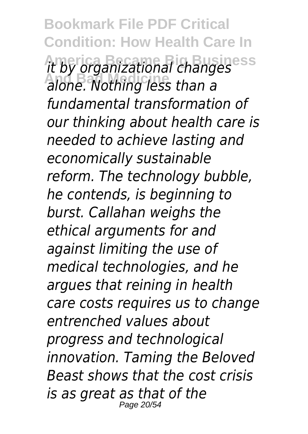**Bookmark File PDF Critical Condition: How Health Care In America Became Big Business** *it by organizational changes* **And Bad Medicine** *alone. Nothing less than a fundamental transformation of our thinking about health care is needed to achieve lasting and economically sustainable reform. The technology bubble, he contends, is beginning to burst. Callahan weighs the ethical arguments for and against limiting the use of medical technologies, and he argues that reining in health care costs requires us to change entrenched values about progress and technological innovation. Taming the Beloved Beast shows that the cost crisis is as great as that of the* Page 20/54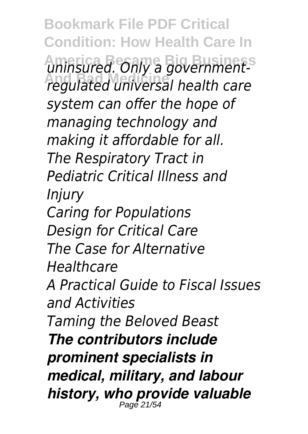**Bookmark File PDF Critical Condition: How Health Care In** uninsured. Only a government-**And Bad Medicine** *regulated universal health care system can offer the hope of managing technology and making it affordable for all. The Respiratory Tract in Pediatric Critical Illness and Injury Caring for Populations Design for Critical Care The Case for Alternative Healthcare A Practical Guide to Fiscal Issues and Activities Taming the Beloved Beast The contributors include prominent specialists in medical, military, and labour history, who provide valuable* Page 21/5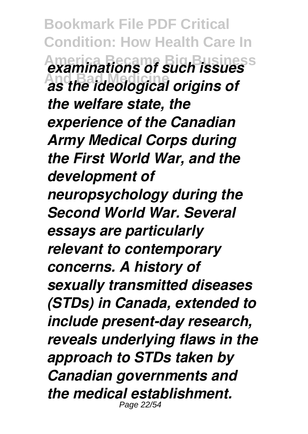**Bookmark File PDF Critical Condition: How Health Care In America Became Big Business** *examinations of such issues* **And Bad Medicine** *as the ideological origins of the welfare state, the experience of the Canadian Army Medical Corps during the First World War, and the development of neuropsychology during the Second World War. Several essays are particularly relevant to contemporary concerns. A history of sexually transmitted diseases (STDs) in Canada, extended to include present-day research, reveals underlying flaws in the approach to STDs taken by Canadian governments and the medical establishment.* Page 22/54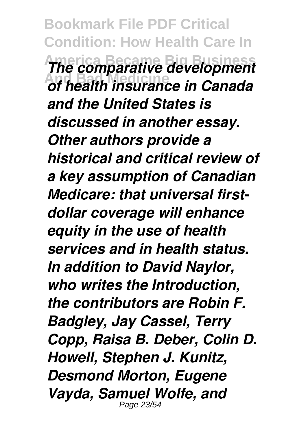**Bookmark File PDF Critical Condition: How Health Care In America Became Big Business** *The comparative development* **And Bad Medicine** *of health insurance in Canada and the United States is discussed in another essay. Other authors provide a historical and critical review of a key assumption of Canadian Medicare: that universal firstdollar coverage will enhance equity in the use of health services and in health status. In addition to David Naylor, who writes the Introduction, the contributors are Robin F. Badgley, Jay Cassel, Terry Copp, Raisa B. Deber, Colin D. Howell, Stephen J. Kunitz, Desmond Morton, Eugene Vayda, Samuel Wolfe, and* Page 23/5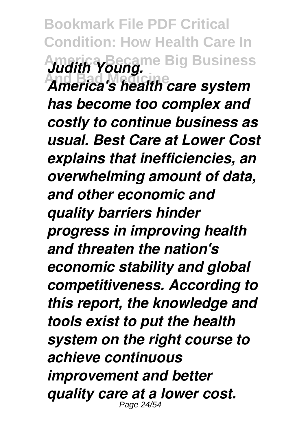**Bookmark File PDF Critical Condition: How Health Care In America Became Big Business** *Judith Young.* **And Bad Medicine** *America's health care system has become too complex and costly to continue business as usual. Best Care at Lower Cost explains that inefficiencies, an overwhelming amount of data, and other economic and quality barriers hinder progress in improving health and threaten the nation's economic stability and global competitiveness. According to this report, the knowledge and tools exist to put the health system on the right course to achieve continuous improvement and better quality care at a lower cost.* Page 24/5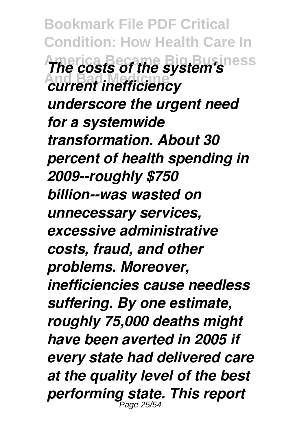**Bookmark File PDF Critical Condition: How Health Care In America Became Big Business** *The costs of the system's* **And Bad Medicine** *current inefficiency underscore the urgent need for a systemwide transformation. About 30 percent of health spending in 2009--roughly \$750 billion--was wasted on unnecessary services, excessive administrative costs, fraud, and other problems. Moreover, inefficiencies cause needless suffering. By one estimate, roughly 75,000 deaths might have been averted in 2005 if every state had delivered care at the quality level of the best performing state. This report* Page 25/54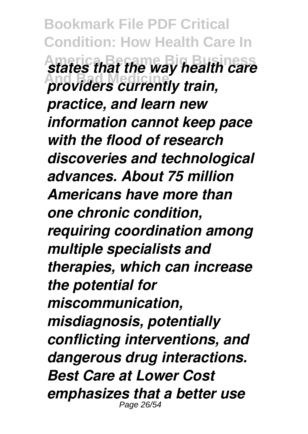**Bookmark File PDF Critical Condition: How Health Care In America Became Big Business** *states that the way health care* **And Bad Medicine** *providers currently train, practice, and learn new information cannot keep pace with the flood of research discoveries and technological advances. About 75 million Americans have more than one chronic condition, requiring coordination among multiple specialists and therapies, which can increase the potential for miscommunication, misdiagnosis, potentially conflicting interventions, and dangerous drug interactions. Best Care at Lower Cost emphasizes that a better use* Page 26/54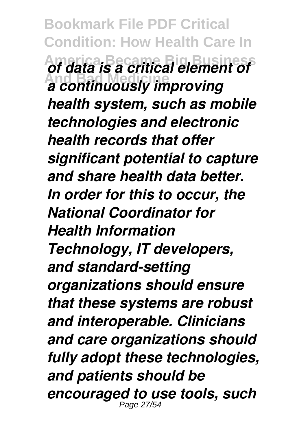**Bookmark File PDF Critical Condition: How Health Care In America Became Big Business** *of data is a critical element of* **And Bad Medicine** *a continuously improving health system, such as mobile technologies and electronic health records that offer significant potential to capture and share health data better. In order for this to occur, the National Coordinator for Health Information Technology, IT developers, and standard-setting organizations should ensure that these systems are robust and interoperable. Clinicians and care organizations should fully adopt these technologies, and patients should be encouraged to use tools, such* Page 27/54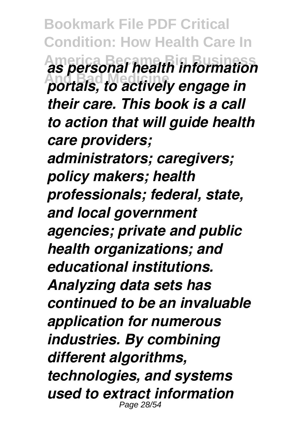**Bookmark File PDF Critical Condition: How Health Care In America Became Big Business** *as personal health information* **And Bad Medicine** *portals, to actively engage in their care. This book is a call to action that will guide health care providers; administrators; caregivers; policy makers; health professionals; federal, state, and local government agencies; private and public health organizations; and educational institutions. Analyzing data sets has continued to be an invaluable application for numerous industries. By combining different algorithms, technologies, and systems used to extract information* Page 28/54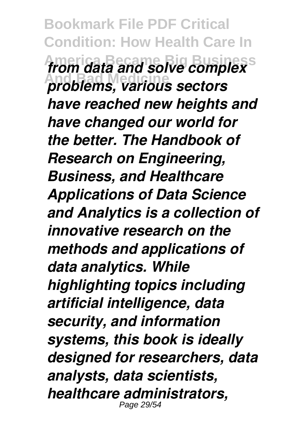**Bookmark File PDF Critical Condition: How Health Care In America Became Big Business** *from data and solve complex* **And Bad Medicine** *problems, various sectors have reached new heights and have changed our world for the better. The Handbook of Research on Engineering, Business, and Healthcare Applications of Data Science and Analytics is a collection of innovative research on the methods and applications of data analytics. While highlighting topics including artificial intelligence, data security, and information systems, this book is ideally designed for researchers, data analysts, data scientists, healthcare administrators,* Page 29/54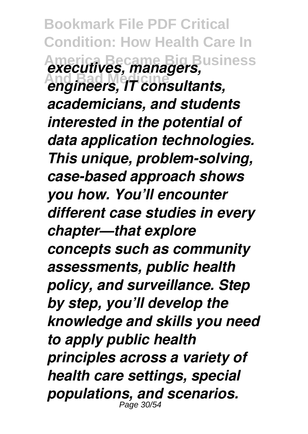**Bookmark File PDF Critical Condition: How Health Care In America Became Big Business** *executives, managers,* **And Bad Medicine** *engineers, IT consultants, academicians, and students interested in the potential of data application technologies. This unique, problem-solving, case-based approach shows you how. You'll encounter different case studies in every chapter—that explore concepts such as community assessments, public health policy, and surveillance. Step by step, you'll develop the knowledge and skills you need to apply public health principles across a variety of health care settings, special populations, and scenarios.* Page 30/54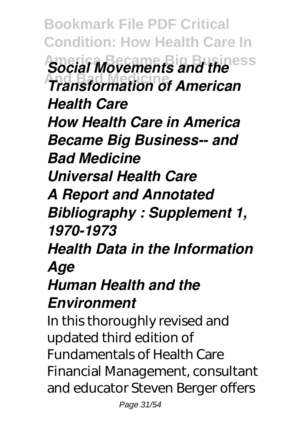**Bookmark File PDF Critical Condition: How Health Care In America Became Big Business** *Social Movements and the* **And Bad Medicine** *Transformation of American Health Care How Health Care in America Became Big Business-- and Bad Medicine Universal Health Care A Report and Annotated Bibliography : Supplement 1, 1970-1973 Health Data in the Information Age Human Health and the Environment* In this thoroughly revised and updated third edition of Fundamentals of Health Care Financial Management, consultant and educator Steven Berger offers

Page 31/54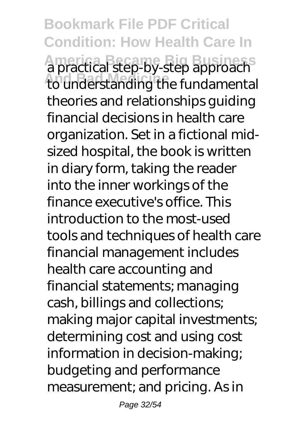**Bookmark File PDF Critical Condition: How Health Care In America Became Big Business** a practical step-by-step approach to understanding the fundamental theories and relationships guiding financial decisions in health care organization. Set in a fictional midsized hospital, the book is written in diary form, taking the reader into the inner workings of the finance executive's office. This introduction to the most-used tools and techniques of health care financial management includes health care accounting and financial statements; managing cash, billings and collections; making major capital investments; determining cost and using cost information in decision-making; budgeting and performance measurement; and pricing. As in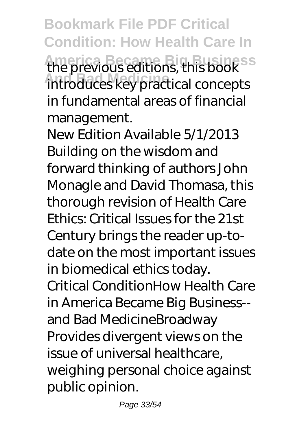**Bookmark File PDF Critical Condition: How Health Care In America Became Big Business** the previous editions, this book **And Bad Medicine** introduces key practical concepts in fundamental areas of financial management.

New Edition Available 5/1/2013 Building on the wisdom and forward thinking of authors John Monagle and David Thomasa, this thorough revision of Health Care Ethics: Critical Issues for the 21st Century brings the reader up-todate on the most important issues in biomedical ethics today. Critical ConditionHow Health Care in America Became Big Business- and Bad MedicineBroadway Provides divergent views on the issue of universal healthcare, weighing personal choice against public opinion.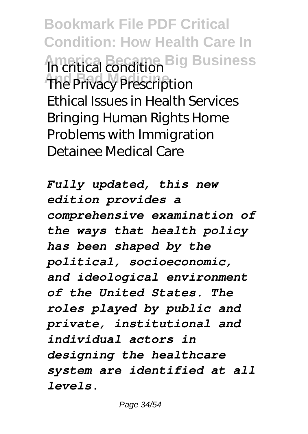**Bookmark File PDF Critical Condition: How Health Care In America Became Big Business** In critical condition **The Privacy Prescription** Ethical Issues in Health Services Bringing Human Rights Home Problems with Immigration Detainee Medical Care

*Fully updated, this new edition provides a comprehensive examination of the ways that health policy has been shaped by the political, socioeconomic, and ideological environment of the United States. The roles played by public and private, institutional and individual actors in designing the healthcare system are identified at all levels.*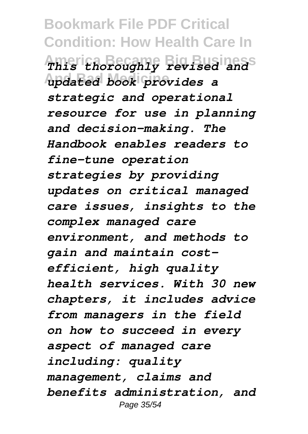**Bookmark File PDF Critical Condition: How Health Care In America Became Big Business** *This thoroughly revised and* **And Bad Medicine** *updated book provides a strategic and operational resource for use in planning and decision-making. The Handbook enables readers to fine-tune operation strategies by providing updates on critical managed care issues, insights to the complex managed care environment, and methods to gain and maintain costefficient, high quality health services. With 30 new chapters, it includes advice from managers in the field on how to succeed in every aspect of managed care including: quality management, claims and benefits administration, and* Page 35/54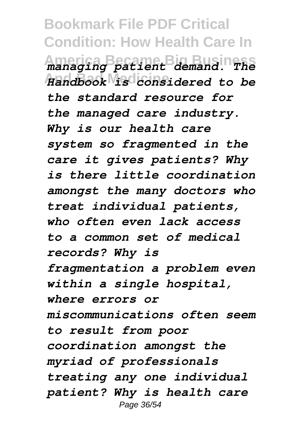**Bookmark File PDF Critical Condition: How Health Care In America Became Big Business** *managing patient demand. The* **And Bad Medicine** *Handbook is considered to be the standard resource for the managed care industry. Why is our health care system so fragmented in the care it gives patients? Why is there little coordination amongst the many doctors who treat individual patients, who often even lack access to a common set of medical records? Why is fragmentation a problem even within a single hospital, where errors or miscommunications often seem to result from poor coordination amongst the myriad of professionals treating any one individual patient? Why is health care* Page 36/54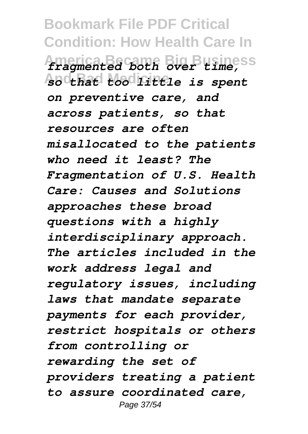**Bookmark File PDF Critical Condition: How Health Care In America Became Big Business** *fragmented both over time,* **And Bad Medicine** *so that too little is spent on preventive care, and across patients, so that resources are often misallocated to the patients who need it least? The Fragmentation of U.S. Health Care: Causes and Solutions approaches these broad questions with a highly interdisciplinary approach. The articles included in the work address legal and regulatory issues, including laws that mandate separate payments for each provider, restrict hospitals or others from controlling or rewarding the set of providers treating a patient to assure coordinated care,* Page 37/54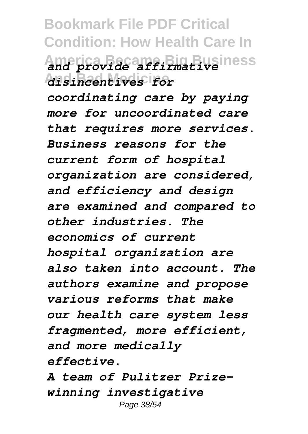**Bookmark File PDF Critical Condition: How Health Care In America Became Big Business** *and provide affirmative* **And Bad Medicine** *disincentives for coordinating care by paying more for uncoordinated care that requires more services. Business reasons for the current form of hospital organization are considered, and efficiency and design are examined and compared to other industries. The economics of current hospital organization are also taken into account. The authors examine and propose various reforms that make our health care system less fragmented, more efficient,*

*effective.*

*and more medically*

*A team of Pulitzer Prizewinning investigative* Page 38/54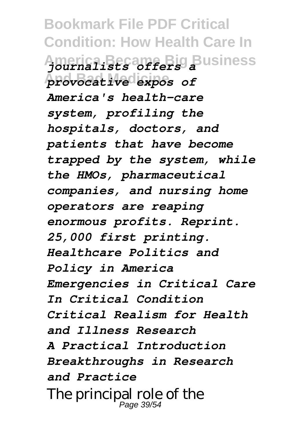**Bookmark File PDF Critical Condition: How Health Care In America Became Big Business** *journalists offers a* **And Bad Medicine** *provocative expos of America's health-care system, profiling the hospitals, doctors, and patients that have become trapped by the system, while the HMOs, pharmaceutical companies, and nursing home operators are reaping enormous profits. Reprint. 25,000 first printing. Healthcare Politics and Policy in America Emergencies in Critical Care In Critical Condition Critical Realism for Health and Illness Research A Practical Introduction Breakthroughs in Research and Practice* The principal role of the Page 39/54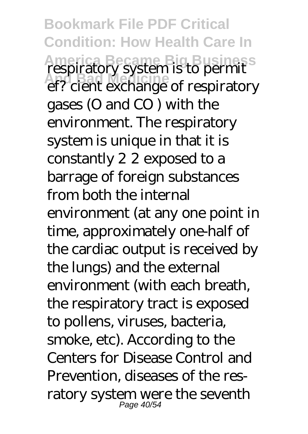**Bookmark File PDF Critical Condition: How Health Care In America Became Big Business**<br> **And Bad Medicines**<br>
And Bad Medicines of respiratory ef? cient exchange of respiratory gases (O and CO ) with the environment. The respiratory system is unique in that it is constantly 2 2 exposed to a barrage of foreign substances from both the internal environment (at any one point in time, approximately one-half of the cardiac output is received by the lungs) and the external environment (with each breath, the respiratory tract is exposed to pollens, viruses, bacteria, smoke, etc). According to the Centers for Disease Control and Prevention, diseases of the resratory system were the seventh Page 40/54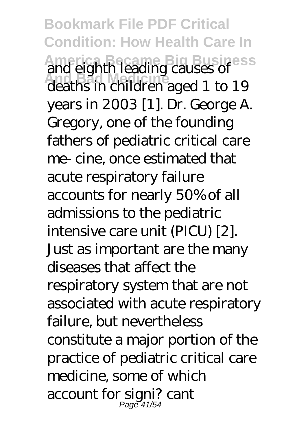**Bookmark File PDF Critical Condition: How Health Care In America Became Big Business And Bad Medicine** and eighth leading causes of deaths in children aged 1 to 19 years in 2003 [1]. Dr. George A. Gregory, one of the founding fathers of pediatric critical care me- cine, once estimated that acute respiratory failure accounts for nearly 50% of all admissions to the pediatric intensive care unit (PICU) [2]. Just as important are the many diseases that affect the respiratory system that are not associated with acute respiratory failure, but nevertheless constitute a major portion of the practice of pediatric critical care medicine, some of which account for signi? cant Page 41/54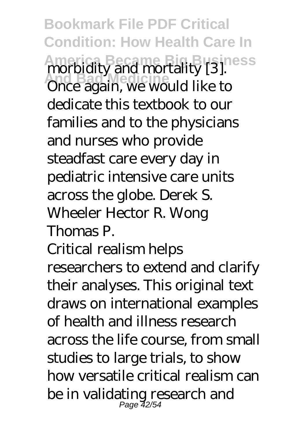**Bookmark File PDF Critical Condition: How Health Care In America Became Big Business And Bad Medicine** morbidity and mortality [3]. Once again, we would like to dedicate this textbook to our families and to the physicians and nurses who provide steadfast care every day in pediatric intensive care units across the globe. Derek S. Wheeler Hector R. Wong Thomas P. Critical realism helps

researchers to extend and clarify their analyses. This original text draws on international examples of health and illness research across the life course, from small studies to large trials, to show how versatile critical realism can be in validating research and Page 42/54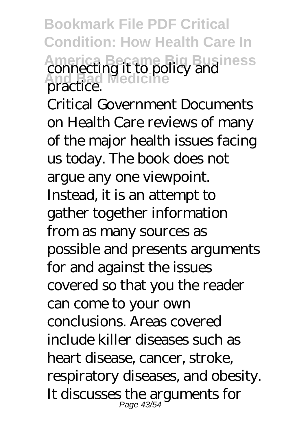**Bookmark File PDF Critical Condition: How Health Care In America Became Big Business<br>
<b>Connecting it to policy and**<br> **Angeriad** Medicine practice.

Critical Government Documents on Health Care reviews of many of the major health issues facing us today. The book does not argue any one viewpoint. Instead, it is an attempt to gather together information from as many sources as possible and presents arguments for and against the issues covered so that you the reader can come to your own conclusions. Areas covered include killer diseases such as heart disease, cancer, stroke, respiratory diseases, and obesity. It discusses the arguments for Page 43/54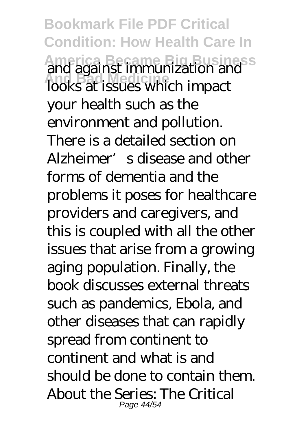**Bookmark File PDF Critical Condition: How Health Care In America Became Big Business<br>
and against immunization and<br>
looks at issues which import** looks at issues which impact your health such as the environment and pollution. There is a detailed section on Alzheimer's disease and other forms of dementia and the problems it poses for healthcare providers and caregivers, and this is coupled with all the other issues that arise from a growing aging population. Finally, the book discusses external threats such as pandemics, Ebola, and other diseases that can rapidly spread from continent to continent and what is and should be done to contain them. About the Series: The Critical Page 44/54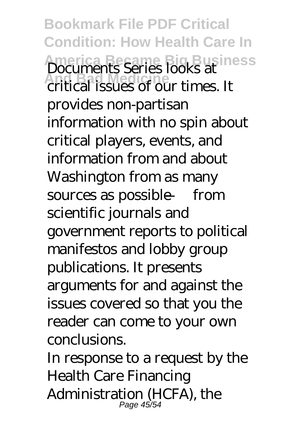**Bookmark File PDF Critical Condition: How Health Care In America Became Big Business**<br> **And Bad Medicines**<br> **And Bad America**<br> **And Business**<br> **And Business** critical issues of our times. It provides non-partisan information with no spin about critical players, events, and information from and about Washington from as many sources as possible — from scientific journals and government reports to political manifestos and lobby group publications. It presents arguments for and against the issues covered so that you the reader can come to your own conclusions.

In response to a request by the Health Care Financing Administration (HCFA), the Page 45/54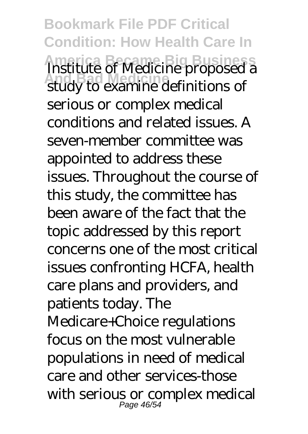**Bookmark File PDF Critical Condition: How Health Care In America Business**<br>
And **Business**<br>
And **Bad Medicine** proposed a study to examine definitions of serious or complex medical conditions and related issues. A seven-member committee was appointed to address these issues. Throughout the course of this study, the committee has been aware of the fact that the topic addressed by this report concerns one of the most critical issues confronting HCFA, health care plans and providers, and patients today. The Medicare+Choice regulations focus on the most vulnerable populations in need of medical care and other services-those with serious or complex medical Page 46/54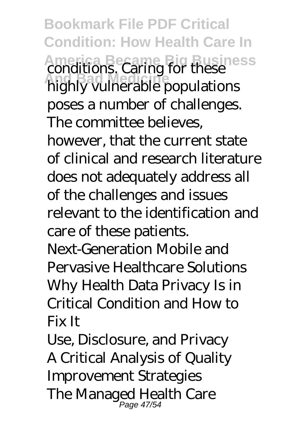**Bookmark File PDF Critical Condition: How Health Care In** America Became Big Business<br> **And Bad Medicines**<br> **And Bad Medicine** conditions highly vulnerable populations poses a number of challenges. The committee believes, however, that the current state of clinical and research literature does not adequately address all of the challenges and issues relevant to the identification and care of these patients. Next-Generation Mobile and Pervasive Healthcare Solutions Why Health Data Privacy Is in Critical Condition and How to Fix It

Use, Disclosure, and Privacy A Critical Analysis of Quality Improvement Strategies The Managed Health Care Page 47/54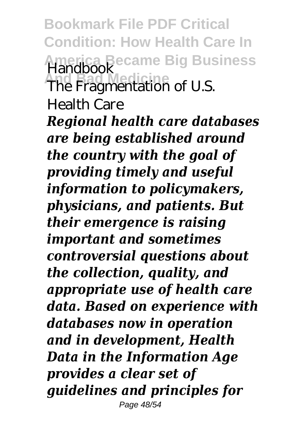**Bookmark File PDF Critical Condition: How Health Care In America Became Big Business** Handbook<br>The Fragmentation of U.S.

Health Care

*Regional health care databases are being established around the country with the goal of providing timely and useful information to policymakers, physicians, and patients. But their emergence is raising important and sometimes controversial questions about the collection, quality, and appropriate use of health care data. Based on experience with databases now in operation and in development, Health Data in the Information Age provides a clear set of guidelines and principles for* Page 48/54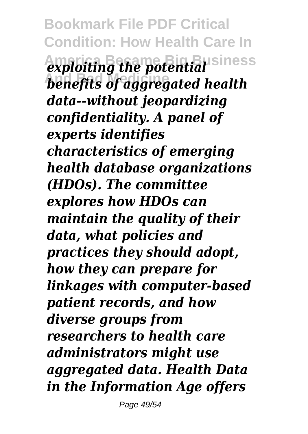**Bookmark File PDF Critical Condition: How Health Care In**  $\alpha$ *exploiting the potential* siness **And Bad Medicine** *benefits of aggregated health data--without jeopardizing confidentiality. A panel of experts identifies characteristics of emerging health database organizations (HDOs). The committee explores how HDOs can maintain the quality of their data, what policies and practices they should adopt, how they can prepare for linkages with computer-based patient records, and how diverse groups from researchers to health care administrators might use aggregated data. Health Data in the Information Age offers*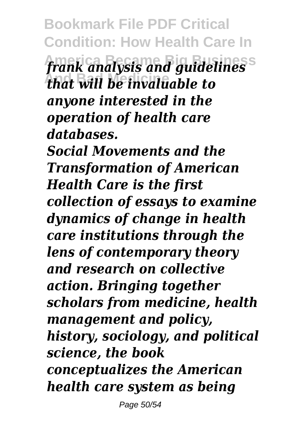**Bookmark File PDF Critical Condition: How Health Care In America Became Big Business** *frank analysis and guidelines* **And Bad Medicine** *that will be invaluable to anyone interested in the operation of health care databases. Social Movements and the Transformation of American*

*Health Care is the first collection of essays to examine dynamics of change in health care institutions through the lens of contemporary theory and research on collective action. Bringing together scholars from medicine, health management and policy, history, sociology, and political science, the book conceptualizes the American health care system as being*

Page 50/54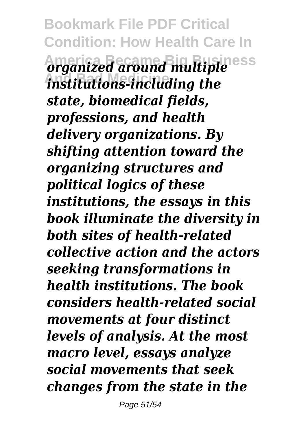**Bookmark File PDF Critical Condition: How Health Care In America Became Big Business** *organized around multiple* **And Bad Medicine** *institutions-including the state, biomedical fields, professions, and health delivery organizations. By shifting attention toward the organizing structures and political logics of these institutions, the essays in this book illuminate the diversity in both sites of health-related collective action and the actors seeking transformations in health institutions. The book considers health-related social movements at four distinct levels of analysis. At the most macro level, essays analyze social movements that seek changes from the state in the*

Page 51/54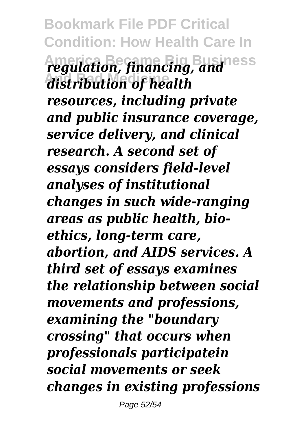**Bookmark File PDF Critical Condition: How Health Care In America Became Big Business** *regulation, financing, and* **And Bad Medicine** *distribution of health resources, including private and public insurance coverage, service delivery, and clinical research. A second set of essays considers field-level analyses of institutional changes in such wide-ranging areas as public health, bioethics, long-term care, abortion, and AIDS services. A third set of essays examines the relationship between social movements and professions, examining the "boundary crossing" that occurs when professionals participatein social movements or seek changes in existing professions*

Page 52/54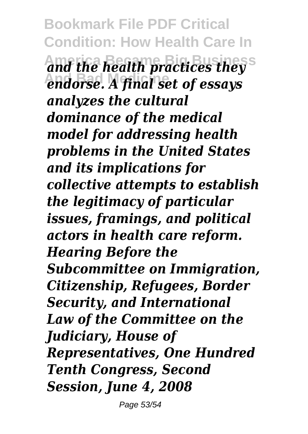**Bookmark File PDF Critical Condition: How Health Care In America Became Big Business** *and the health practices they* endorse. A final set of essays *analyzes the cultural dominance of the medical model for addressing health problems in the United States and its implications for collective attempts to establish the legitimacy of particular issues, framings, and political actors in health care reform. Hearing Before the Subcommittee on Immigration, Citizenship, Refugees, Border Security, and International Law of the Committee on the Judiciary, House of Representatives, One Hundred Tenth Congress, Second Session, June 4, 2008*

Page 53/54